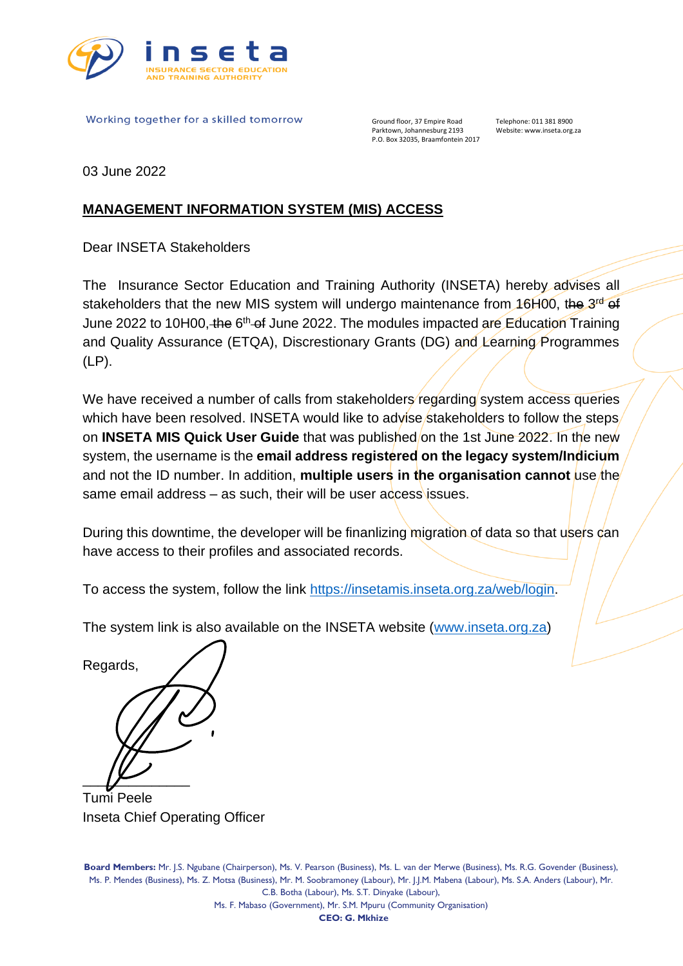

Working together for a skilled tomorrow

Ground floor, 37 Empire Road Telephone: 011 381 8900<br>Parktown, Johannesburg 2193 Website: www.inseta.org P.O. Box 32035, Braamfontein 2017

Website: www.inseta.org.za

03 June 2022

## **MANAGEMENT INFORMATION SYSTEM (MIS) ACCESS**

Dear INSETA Stakeholders

The Insurance Sector Education and Training Authority (INSETA) hereby advises all stakeholders that the new MIS system will undergo maintenance from 16H00, the 3<sup>rd</sup> of June 2022 to 10H00, the 6<sup>th</sup> of June 2022. The modules impacted are Education Training and Quality Assurance (ETQA), Discrestionary Grants (DG) and Learning Programmes (LP).

We have received a number of calls from stakeholders regarding system access queries which have been resolved. INSETA would like to advise stakeholders to follow the steps on **INSETA MIS Quick User Guide** that was published/on the 1st June 2022. In the new system, the username is the **email address registered on the legacy system/Indicium** and not the ID number. In addition, **multiple users in the organisation cannot** use the same email address  $-$  as such, their will be user access issues.

During this downtime, the developer will be finanlizing migration of data so that users can have access to their profiles and associated records.

To access the system, follow the link [https://insetamis.inseta.org.za/web/login.](https://insetamis.inseta.org.za/web/login)

The system link is also available on the INSETA website [\(www.inseta.org.za\)](file:///C:/Users/zbook/AppData/Local/Microsoft/Windows/INetCache/Content.Outlook/HSSB30KH/www.inseta.org.za)



Tumi Peele Inseta Chief Operating Officer

**Board Members:** Mr. J.S. Ngubane (Chairperson), Ms. V. Pearson (Business), Ms. L. van der Merwe (Business), Ms. R.G. Govender (Business), Ms. P. Mendes (Business), Ms. Z. Motsa (Business), Mr. M. Soobramoney (Labour), Mr. J.J.M. Mabena (Labour), Ms. S.A. Anders (Labour), Mr. C.B. Botha (Labour), Ms. S.T. Dinyake (Labour),

Ms. F. Mabaso (Government), Mr. S.M. Mpuru (Community Organisation)